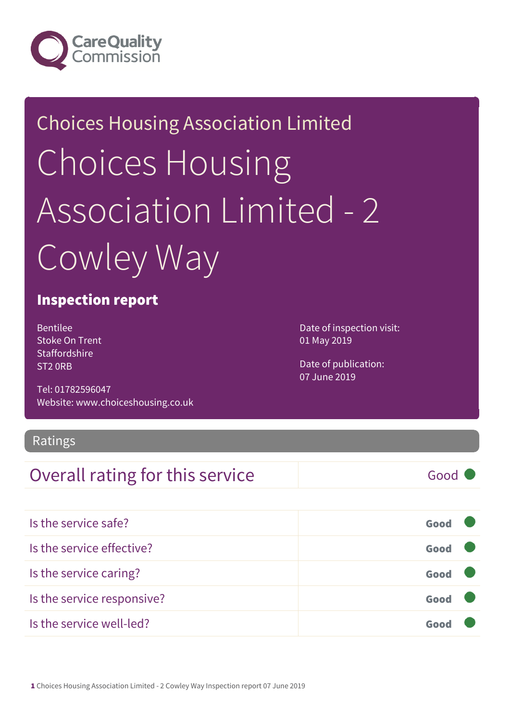

## Choices Housing Association Limited Choices Housing Association Limited - 2 Cowley Way

#### Inspection report

Bentilee Stoke On Trent **Staffordshire** ST2 0RB

Tel: 01782596047 Website: www.choiceshousing.co.uk Date of inspection visit: 01 May 2019

Date of publication: 07 June 2019

#### Ratings

#### Overall rating for this service Good

| Is the service safe?       | Good |  |
|----------------------------|------|--|
| Is the service effective?  | Good |  |
| Is the service caring?     | Good |  |
| Is the service responsive? | Good |  |
| Is the service well-led?   |      |  |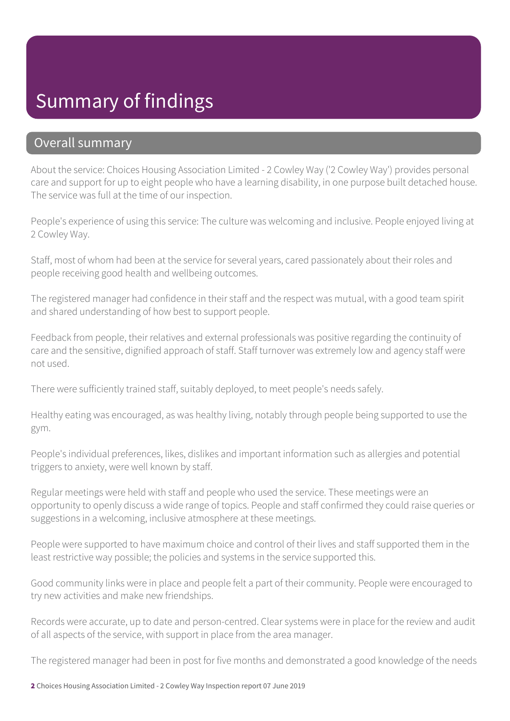### Summary of findings

#### Overall summary

About the service: Choices Housing Association Limited - 2 Cowley Way ('2 Cowley Way') provides personal care and support for up to eight people who have a learning disability, in one purpose built detached house. The service was full at the time of our inspection.

People's experience of using this service: The culture was welcoming and inclusive. People enjoyed living at 2 Cowley Way.

Staff, most of whom had been at the service for several years, cared passionately about their roles and people receiving good health and wellbeing outcomes.

The registered manager had confidence in their staff and the respect was mutual, with a good team spirit and shared understanding of how best to support people.

Feedback from people, their relatives and external professionals was positive regarding the continuity of care and the sensitive, dignified approach of staff. Staff turnover was extremely low and agency staff were not used.

There were sufficiently trained staff, suitably deployed, to meet people's needs safely.

Healthy eating was encouraged, as was healthy living, notably through people being supported to use the gym.

People's individual preferences, likes, dislikes and important information such as allergies and potential triggers to anxiety, were well known by staff.

Regular meetings were held with staff and people who used the service. These meetings were an opportunity to openly discuss a wide range of topics. People and staff confirmed they could raise queries or suggestions in a welcoming, inclusive atmosphere at these meetings.

People were supported to have maximum choice and control of their lives and staff supported them in the least restrictive way possible; the policies and systems in the service supported this.

Good community links were in place and people felt a part of their community. People were encouraged to try new activities and make new friendships.

Records were accurate, up to date and person-centred. Clear systems were in place for the review and audit of all aspects of the service, with support in place from the area manager.

The registered manager had been in post for five months and demonstrated a good knowledge of the needs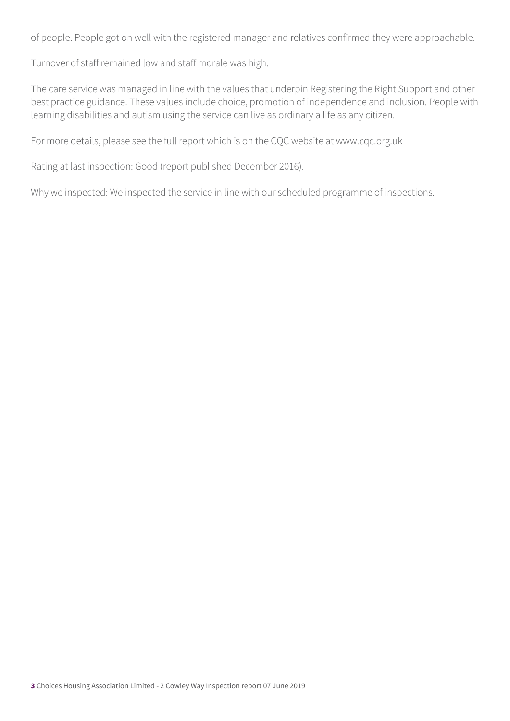of people. People got on well with the registered manager and relatives confirmed they were approachable.

Turnover of staff remained low and staff morale was high.

The care service was managed in line with the values that underpin Registering the Right Support and other best practice guidance. These values include choice, promotion of independence and inclusion. People with learning disabilities and autism using the service can live as ordinary a life as any citizen.

For more details, please see the full report which is on the CQC website at www.cqc.org.uk

Rating at last inspection: Good (report published December 2016).

Why we inspected: We inspected the service in line with our scheduled programme of inspections.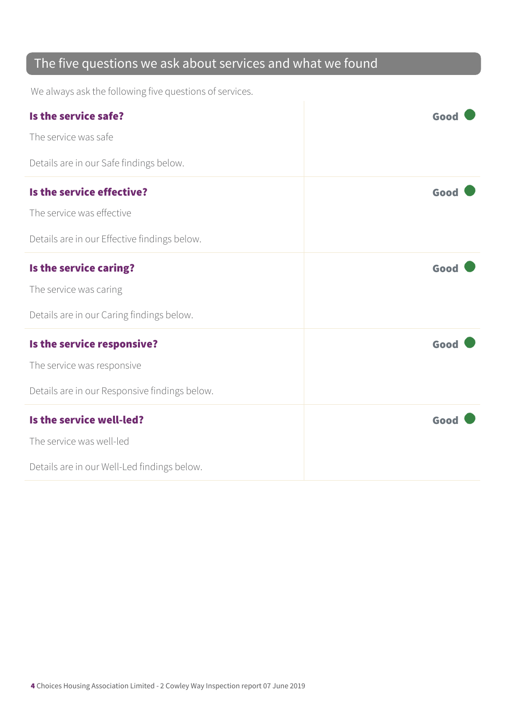#### The five questions we ask about services and what we found

We always ask the following five questions of services.

| Is the service safe?                          | Good |
|-----------------------------------------------|------|
| The service was safe                          |      |
| Details are in our Safe findings below.       |      |
| Is the service effective?                     | Good |
| The service was effective                     |      |
| Details are in our Effective findings below.  |      |
| Is the service caring?                        | Good |
| The service was caring                        |      |
| Details are in our Caring findings below.     |      |
| Is the service responsive?                    | Good |
| The service was responsive                    |      |
| Details are in our Responsive findings below. |      |
| Is the service well-led?                      | Good |
| The service was well-led                      |      |
| Details are in our Well-Led findings below.   |      |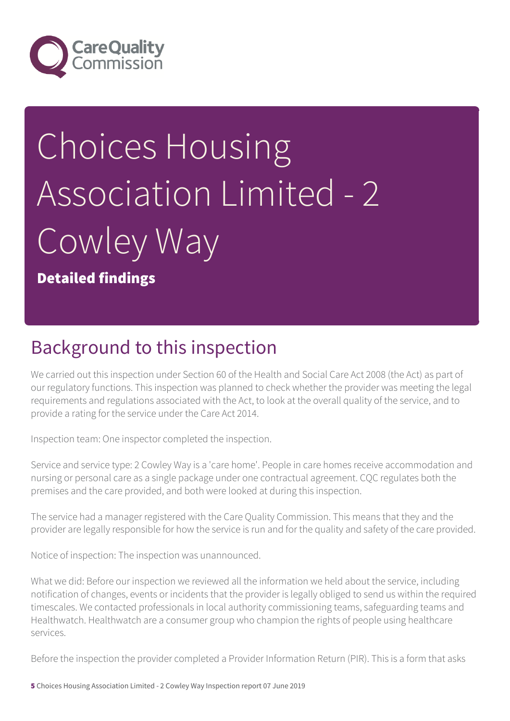

# Choices Housing Association Limited - 2 Cowley Way

Detailed findings

### Background to this inspection

We carried out this inspection under Section 60 of the Health and Social Care Act 2008 (the Act) as part of our regulatory functions. This inspection was planned to check whether the provider was meeting the legal requirements and regulations associated with the Act, to look at the overall quality of the service, and to provide a rating for the service under the Care Act 2014.

Inspection team: One inspector completed the inspection.

Service and service type: 2 Cowley Way is a 'care home'. People in care homes receive accommodation and nursing or personal care as a single package under one contractual agreement. CQC regulates both the premises and the care provided, and both were looked at during this inspection.

The service had a manager registered with the Care Quality Commission. This means that they and the provider are legally responsible for how the service is run and for the quality and safety of the care provided.

Notice of inspection: The inspection was unannounced.

What we did: Before our inspection we reviewed all the information we held about the service, including notification of changes, events or incidents that the provider is legally obliged to send us within the required timescales. We contacted professionals in local authority commissioning teams, safeguarding teams and Healthwatch. Healthwatch are a consumer group who champion the rights of people using healthcare services.

Before the inspection the provider completed a Provider Information Return (PIR). This is a form that asks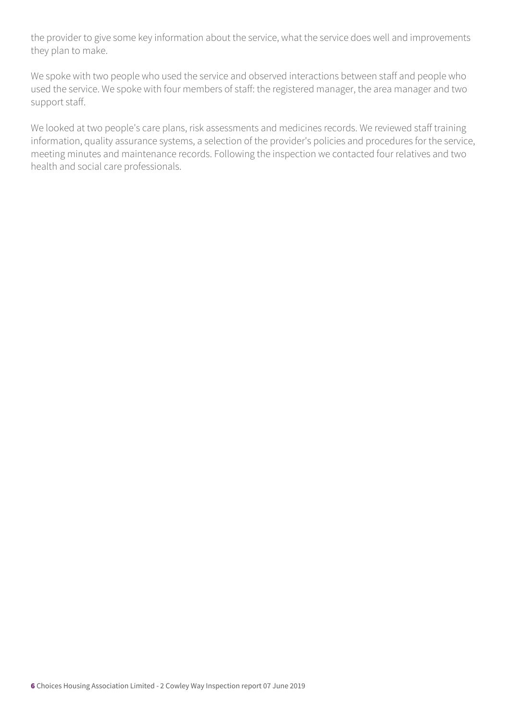the provider to give some key information about the service, what the service does well and improvements they plan to make.

We spoke with two people who used the service and observed interactions between staff and people who used the service. We spoke with four members of staff: the registered manager, the area manager and two support staff.

We looked at two people's care plans, risk assessments and medicines records. We reviewed staff training information, quality assurance systems, a selection of the provider's policies and procedures for the service, meeting minutes and maintenance records. Following the inspection we contacted four relatives and two health and social care professionals.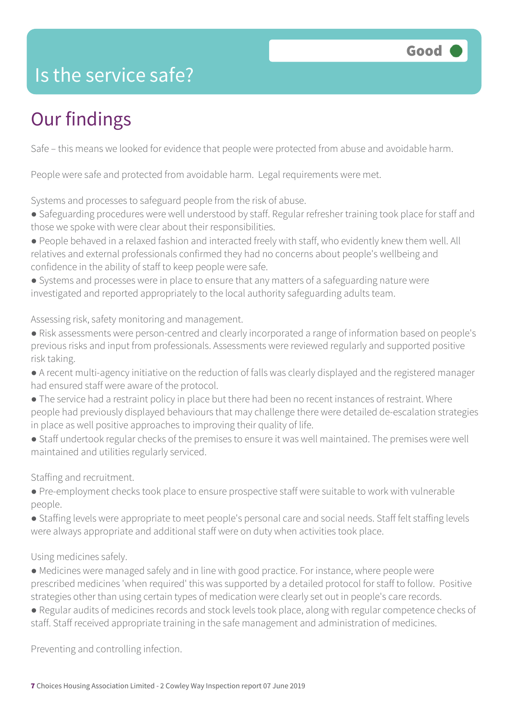

#### Is the service safe?

## Our findings

Safe – this means we looked for evidence that people were protected from abuse and avoidable harm.

People were safe and protected from avoidable harm. Legal requirements were met.

Systems and processes to safeguard people from the risk of abuse.

- Safeguarding procedures were well understood by staff. Regular refresher training took place for staff and those we spoke with were clear about their responsibilities.
- People behaved in a relaxed fashion and interacted freely with staff, who evidently knew them well. All relatives and external professionals confirmed they had no concerns about people's wellbeing and confidence in the ability of staff to keep people were safe.
- Systems and processes were in place to ensure that any matters of a safeguarding nature were investigated and reported appropriately to the local authority safeguarding adults team.

Assessing risk, safety monitoring and management.

- Risk assessments were person-centred and clearly incorporated a range of information based on people's previous risks and input from professionals. Assessments were reviewed regularly and supported positive risk taking.
- A recent multi-agency initiative on the reduction of falls was clearly displayed and the registered manager had ensured staff were aware of the protocol.
- The service had a restraint policy in place but there had been no recent instances of restraint. Where people had previously displayed behaviours that may challenge there were detailed de-escalation strategies in place as well positive approaches to improving their quality of life.
- Staff undertook regular checks of the premises to ensure it was well maintained. The premises were well maintained and utilities regularly serviced.

Staffing and recruitment.

- Pre-employment checks took place to ensure prospective staff were suitable to work with vulnerable people.
- Staffing levels were appropriate to meet people's personal care and social needs. Staff felt staffing levels were always appropriate and additional staff were on duty when activities took place.

#### Using medicines safely.

- Medicines were managed safely and in line with good practice. For instance, where people were prescribed medicines 'when required' this was supported by a detailed protocol for staff to follow. Positive strategies other than using certain types of medication were clearly set out in people's care records.
- Regular audits of medicines records and stock levels took place, along with regular competence checks of staff. Staff received appropriate training in the safe management and administration of medicines.

Preventing and controlling infection.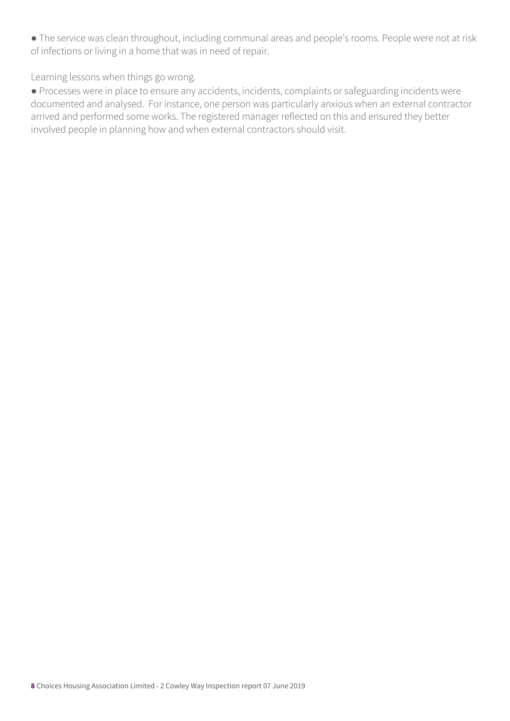● The service was clean throughout, including communal areas and people's rooms. People were not at risk of infections or living in a home that was in need of repair.

Learning lessons when things go wrong.

● Processes were in place to ensure any accidents, incidents, complaints or safeguarding incidents were documented and analysed. For instance, one person was particularly anxious when an external contractor arrived and performed some works. The registered manager reflected on this and ensured they better involved people in planning how and when external contractors should visit.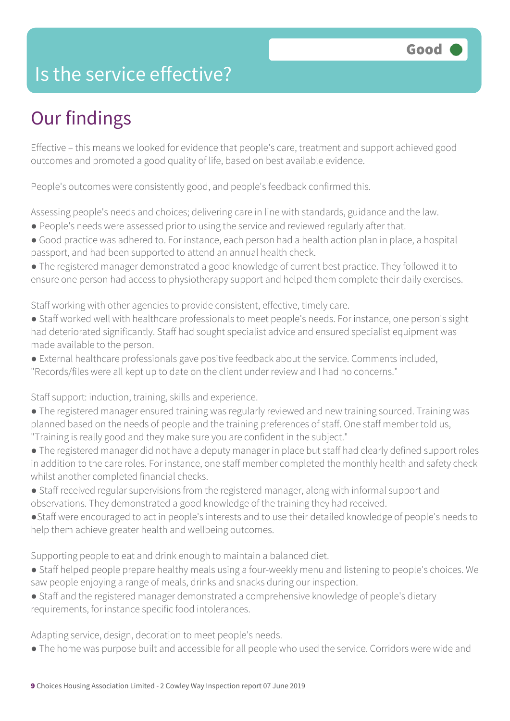### Is the service effective?

## Our findings

Effective – this means we looked for evidence that people's care, treatment and support achieved good outcomes and promoted a good quality of life, based on best available evidence.

People's outcomes were consistently good, and people's feedback confirmed this.

Assessing people's needs and choices; delivering care in line with standards, guidance and the law.

- People's needs were assessed prior to using the service and reviewed regularly after that.
- Good practice was adhered to. For instance, each person had a health action plan in place, a hospital passport, and had been supported to attend an annual health check.
- The registered manager demonstrated a good knowledge of current best practice. They followed it to ensure one person had access to physiotherapy support and helped them complete their daily exercises.

Staff working with other agencies to provide consistent, effective, timely care.

- Staff worked well with healthcare professionals to meet people's needs. For instance, one person's sight had deteriorated significantly. Staff had sought specialist advice and ensured specialist equipment was made available to the person.
- External healthcare professionals gave positive feedback about the service. Comments included, "Records/files were all kept up to date on the client under review and I had no concerns."

Staff support: induction, training, skills and experience.

- The registered manager ensured training was regularly reviewed and new training sourced. Training was planned based on the needs of people and the training preferences of staff. One staff member told us, "Training is really good and they make sure you are confident in the subject."
- The registered manager did not have a deputy manager in place but staff had clearly defined support roles in addition to the care roles. For instance, one staff member completed the monthly health and safety check whilst another completed financial checks.
- Staff received regular supervisions from the registered manager, along with informal support and observations. They demonstrated a good knowledge of the training they had received.
- ●Staff were encouraged to act in people's interests and to use their detailed knowledge of people's needs to help them achieve greater health and wellbeing outcomes.

Supporting people to eat and drink enough to maintain a balanced diet.

- Staff helped people prepare healthy meals using a four-weekly menu and listening to people's choices. We saw people enjoying a range of meals, drinks and snacks during our inspection.
- Staff and the registered manager demonstrated a comprehensive knowledge of people's dietary requirements, for instance specific food intolerances.

Adapting service, design, decoration to meet people's needs.

● The home was purpose built and accessible for all people who used the service. Corridors were wide and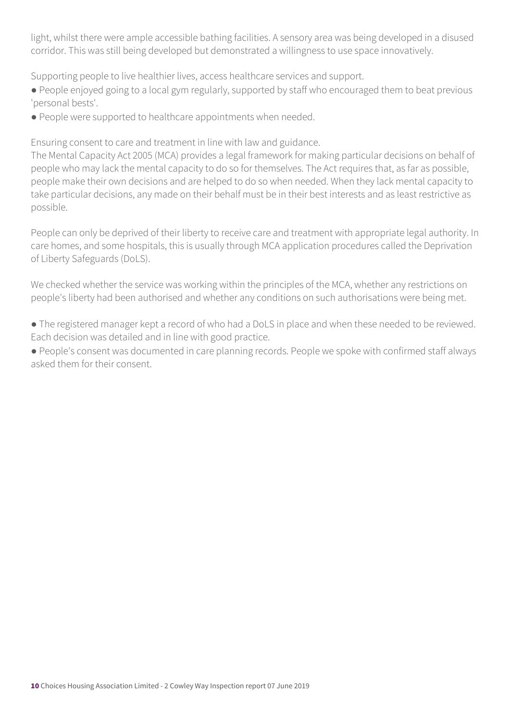light, whilst there were ample accessible bathing facilities. A sensory area was being developed in a disused corridor. This was still being developed but demonstrated a willingness to use space innovatively.

Supporting people to live healthier lives, access healthcare services and support.

● People enjoyed going to a local gym regularly, supported by staff who encouraged them to beat previous 'personal bests'.

● People were supported to healthcare appointments when needed.

Ensuring consent to care and treatment in line with law and guidance.

The Mental Capacity Act 2005 (MCA) provides a legal framework for making particular decisions on behalf of people who may lack the mental capacity to do so for themselves. The Act requires that, as far as possible, people make their own decisions and are helped to do so when needed. When they lack mental capacity to take particular decisions, any made on their behalf must be in their best interests and as least restrictive as possible.

People can only be deprived of their liberty to receive care and treatment with appropriate legal authority. In care homes, and some hospitals, this is usually through MCA application procedures called the Deprivation of Liberty Safeguards (DoLS).

We checked whether the service was working within the principles of the MCA, whether any restrictions on people's liberty had been authorised and whether any conditions on such authorisations were being met.

● The registered manager kept a record of who had a DoLS in place and when these needed to be reviewed. Each decision was detailed and in line with good practice.

● People's consent was documented in care planning records. People we spoke with confirmed staff always asked them for their consent.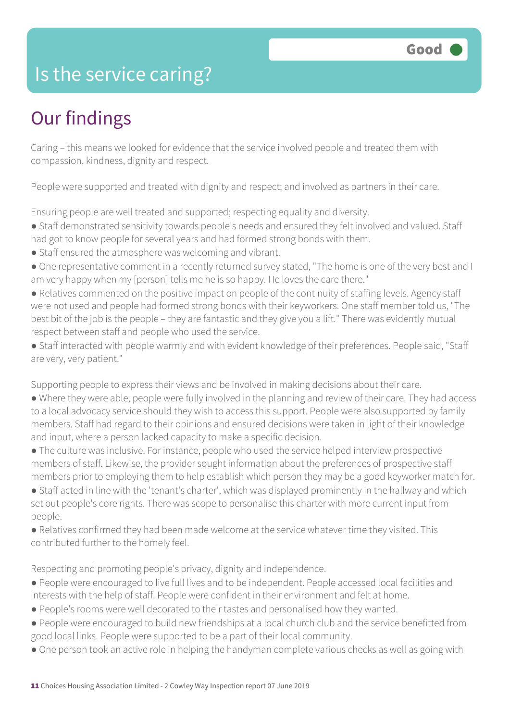#### Is the service caring?

## Our findings

Caring – this means we looked for evidence that the service involved people and treated them with compassion, kindness, dignity and respect.

People were supported and treated with dignity and respect; and involved as partners in their care.

Ensuring people are well treated and supported; respecting equality and diversity.

● Staff demonstrated sensitivity towards people's needs and ensured they felt involved and valued. Staff had got to know people for several years and had formed strong bonds with them.

- 
- Staff ensured the atmosphere was welcoming and vibrant.
- One representative comment in a recently returned survey stated, "The home is one of the very best and I am very happy when my [person] tells me he is so happy. He loves the care there."
- Relatives commented on the positive impact on people of the continuity of staffing levels. Agency staff were not used and people had formed strong bonds with their keyworkers. One staff member told us, "The best bit of the job is the people – they are fantastic and they give you a lift." There was evidently mutual respect between staff and people who used the service.
- Staff interacted with people warmly and with evident knowledge of their preferences. People said, "Staff are very, very patient."

Supporting people to express their views and be involved in making decisions about their care.

- Where they were able, people were fully involved in the planning and review of their care. They had access to a local advocacy service should they wish to access this support. People were also supported by family members. Staff had regard to their opinions and ensured decisions were taken in light of their knowledge and input, where a person lacked capacity to make a specific decision.
- The culture was inclusive. For instance, people who used the service helped interview prospective members of staff. Likewise, the provider sought information about the preferences of prospective staff members prior to employing them to help establish which person they may be a good keyworker match for.

● Staff acted in line with the 'tenant's charter', which was displayed prominently in the hallway and which set out people's core rights. There was scope to personalise this charter with more current input from people.

● Relatives confirmed they had been made welcome at the service whatever time they visited. This contributed further to the homely feel.

Respecting and promoting people's privacy, dignity and independence.

- People were encouraged to live full lives and to be independent. People accessed local facilities and interests with the help of staff. People were confident in their environment and felt at home.
- People's rooms were well decorated to their tastes and personalised how they wanted.
- People were encouraged to build new friendships at a local church club and the service benefitted from good local links. People were supported to be a part of their local community.
- One person took an active role in helping the handyman complete various checks as well as going with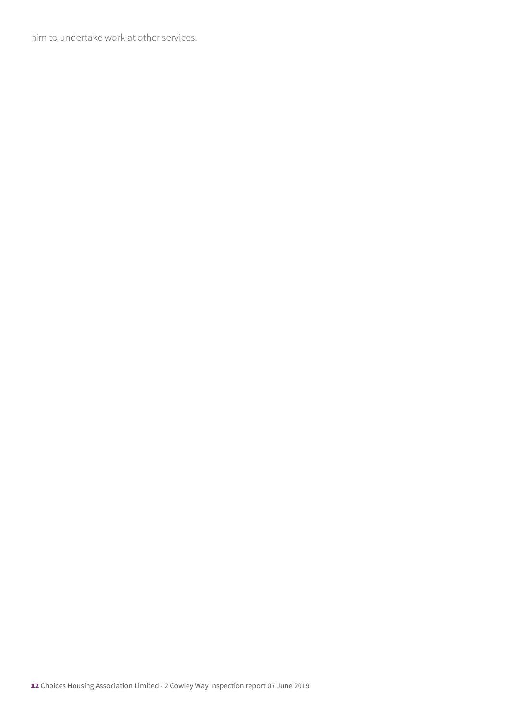him to undertake work at other services.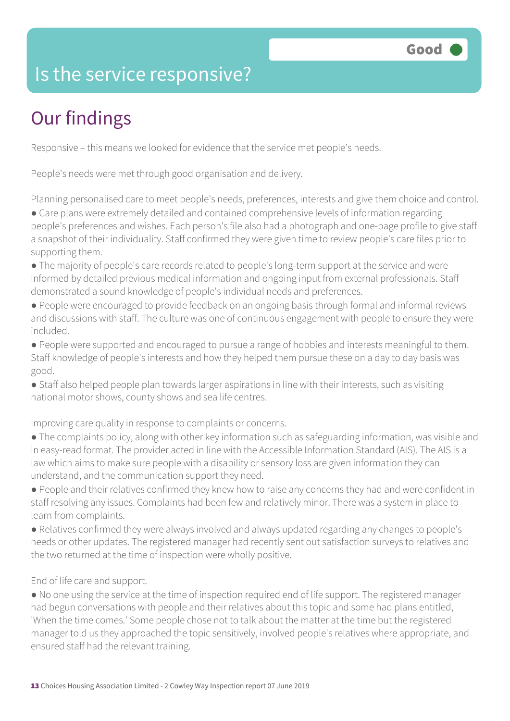### Is the service responsive?

## Our findings

Responsive – this means we looked for evidence that the service met people's needs.

People's needs were met through good organisation and delivery.

Planning personalised care to meet people's needs, preferences, interests and give them choice and control.

● Care plans were extremely detailed and contained comprehensive levels of information regarding people's preferences and wishes. Each person's file also had a photograph and one-page profile to give staff a snapshot of their individuality. Staff confirmed they were given time to review people's care files prior to supporting them.

- The majority of people's care records related to people's long-term support at the service and were informed by detailed previous medical information and ongoing input from external professionals. Staff demonstrated a sound knowledge of people's individual needs and preferences.
- People were encouraged to provide feedback on an ongoing basis through formal and informal reviews and discussions with staff. The culture was one of continuous engagement with people to ensure they were included.
- People were supported and encouraged to pursue a range of hobbies and interests meaningful to them. Staff knowledge of people's interests and how they helped them pursue these on a day to day basis was good.
- Staff also helped people plan towards larger aspirations in line with their interests, such as visiting national motor shows, county shows and sea life centres.

Improving care quality in response to complaints or concerns.

- The complaints policy, along with other key information such as safeguarding information, was visible and in easy-read format. The provider acted in line with the Accessible Information Standard (AIS). The AIS is a law which aims to make sure people with a disability or sensory loss are given information they can understand, and the communication support they need.
- People and their relatives confirmed they knew how to raise any concerns they had and were confident in staff resolving any issues. Complaints had been few and relatively minor. There was a system in place to learn from complaints.
- Relatives confirmed they were always involved and always updated regarding any changes to people's needs or other updates. The registered manager had recently sent out satisfaction surveys to relatives and the two returned at the time of inspection were wholly positive.

End of life care and support.

● No one using the service at the time of inspection required end of life support. The registered manager had begun conversations with people and their relatives about this topic and some had plans entitled, 'When the time comes.' Some people chose not to talk about the matter at the time but the registered manager told us they approached the topic sensitively, involved people's relatives where appropriate, and ensured staff had the relevant training.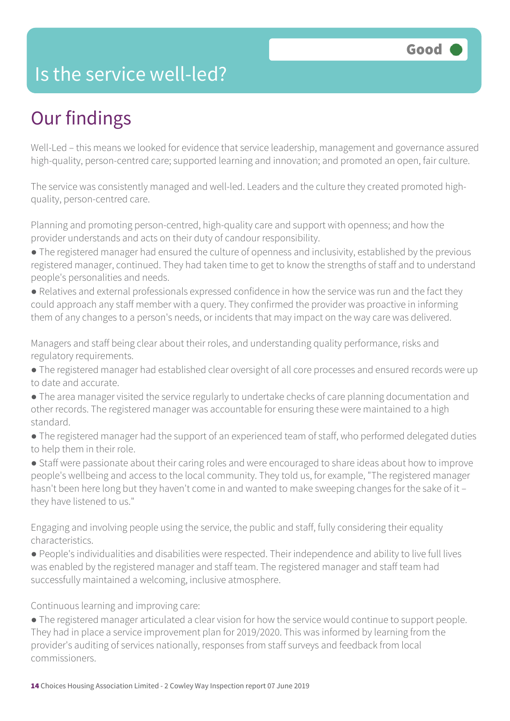#### Is the service well-led?

## Our findings

Well-Led – this means we looked for evidence that service leadership, management and governance assured high-quality, person-centred care; supported learning and innovation; and promoted an open, fair culture.

The service was consistently managed and well-led. Leaders and the culture they created promoted highquality, person-centred care.

Planning and promoting person-centred, high-quality care and support with openness; and how the provider understands and acts on their duty of candour responsibility.

- The registered manager had ensured the culture of openness and inclusivity, established by the previous registered manager, continued. They had taken time to get to know the strengths of staff and to understand people's personalities and needs.
- Relatives and external professionals expressed confidence in how the service was run and the fact they could approach any staff member with a query. They confirmed the provider was proactive in informing them of any changes to a person's needs, or incidents that may impact on the way care was delivered.

Managers and staff being clear about their roles, and understanding quality performance, risks and regulatory requirements.

- The registered manager had established clear oversight of all core processes and ensured records were up to date and accurate.
- The area manager visited the service regularly to undertake checks of care planning documentation and other records. The registered manager was accountable for ensuring these were maintained to a high standard.
- The registered manager had the support of an experienced team of staff, who performed delegated duties to help them in their role.

● Staff were passionate about their caring roles and were encouraged to share ideas about how to improve people's wellbeing and access to the local community. They told us, for example, "The registered manager hasn't been here long but they haven't come in and wanted to make sweeping changes for the sake of it they have listened to us."

Engaging and involving people using the service, the public and staff, fully considering their equality characteristics.

● People's individualities and disabilities were respected. Their independence and ability to live full lives was enabled by the registered manager and staff team. The registered manager and staff team had successfully maintained a welcoming, inclusive atmosphere.

Continuous learning and improving care:

● The registered manager articulated a clear vision for how the service would continue to support people. They had in place a service improvement plan for 2019/2020. This was informed by learning from the provider's auditing of services nationally, responses from staff surveys and feedback from local commissioners.